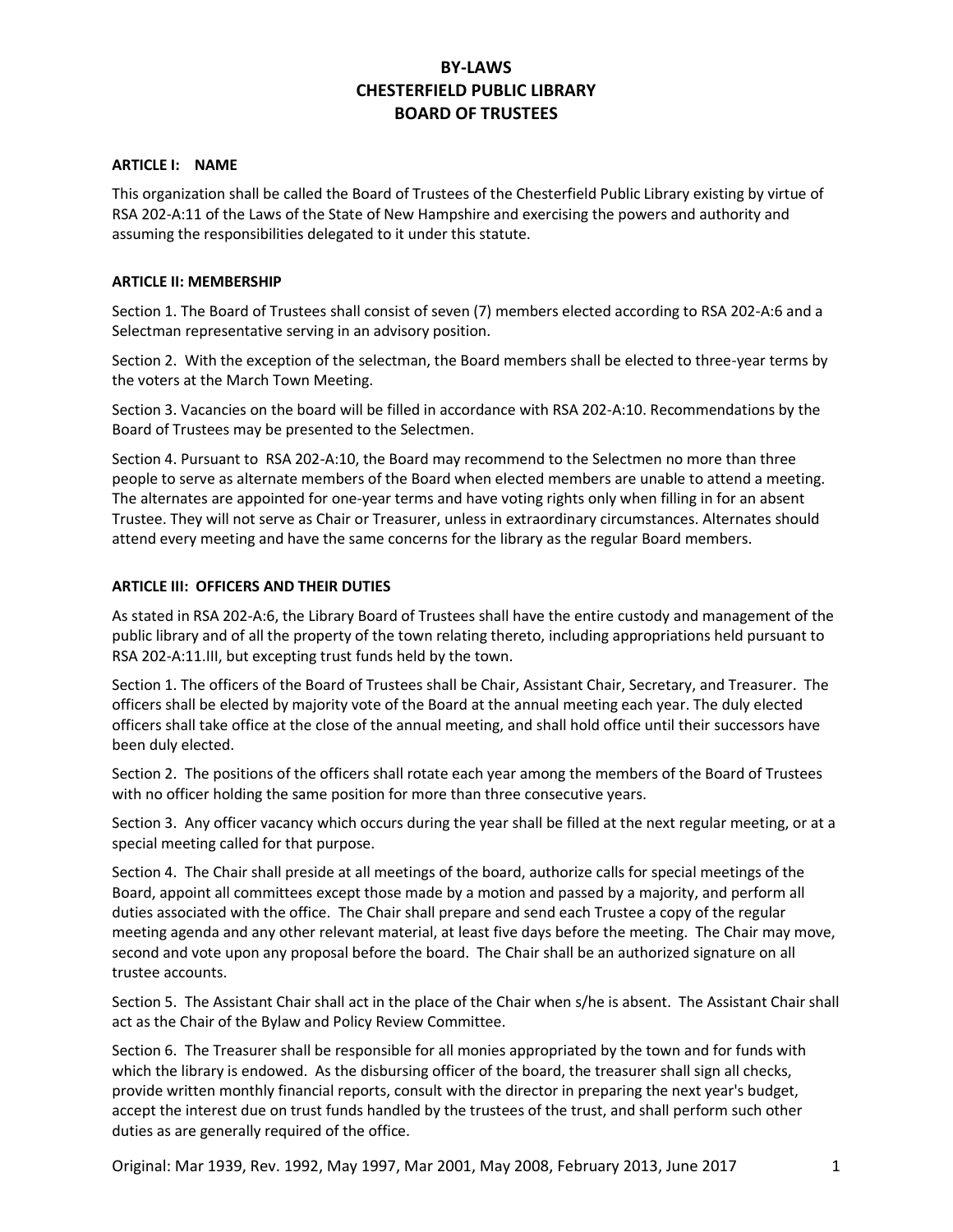# **BY-LAWS CHESTERFIELD PUBLIC LIBRARY BOARD OF TRUSTEES**

### **ARTICLE I: NAME**

This organization shall be called the Board of Trustees of the Chesterfield Public Library existing by virtue of RSA 202-A:11 of the Laws of the State of New Hampshire and exercising the powers and authority and assuming the responsibilities delegated to it under this statute.

## **ARTICLE II: MEMBERSHIP**

Section 1. The Board of Trustees shall consist of seven (7) members elected according to RSA 202-A:6 and a Selectman representative serving in an advisory position.

Section 2. With the exception of the selectman, the Board members shall be elected to three-year terms by the voters at the March Town Meeting.

Section 3. Vacancies on the board will be filled in accordance with RSA 202-A:10. Recommendations by the Board of Trustees may be presented to the Selectmen.

Section 4. Pursuant to RSA 202-A:10, the Board may recommend to the Selectmen no more than three people to serve as alternate members of the Board when elected members are unable to attend a meeting. The alternates are appointed for one-year terms and have voting rights only when filling in for an absent Trustee. They will not serve as Chair or Treasurer, unless in extraordinary circumstances. Alternates should attend every meeting and have the same concerns for the library as the regular Board members.

### **ARTICLE III: OFFICERS AND THEIR DUTIES**

As stated in RSA 202-A:6, the Library Board of Trustees shall have the entire custody and management of the public library and of all the property of the town relating thereto, including appropriations held pursuant to RSA 202-A:11.III, but excepting trust funds held by the town.

Section 1. The officers of the Board of Trustees shall be Chair, Assistant Chair, Secretary, and Treasurer. The officers shall be elected by majority vote of the Board at the annual meeting each year. The duly elected officers shall take office at the close of the annual meeting, and shall hold office until their successors have been duly elected.

Section 2. The positions of the officers shall rotate each year among the members of the Board of Trustees with no officer holding the same position for more than three consecutive years.

Section 3. Any officer vacancy which occurs during the year shall be filled at the next regular meeting, or at a special meeting called for that purpose.

Section 4. The Chair shall preside at all meetings of the board, authorize calls for special meetings of the Board, appoint all committees except those made by a motion and passed by a majority, and perform all duties associated with the office. The Chair shall prepare and send each Trustee a copy of the regular meeting agenda and any other relevant material, at least five days before the meeting. The Chair may move, second and vote upon any proposal before the board. The Chair shall be an authorized signature on all trustee accounts.

Section 5. The Assistant Chair shall act in the place of the Chair when s/he is absent. The Assistant Chair shall act as the Chair of the Bylaw and Policy Review Committee.

Section 6. The Treasurer shall be responsible for all monies appropriated by the town and for funds with which the library is endowed. As the disbursing officer of the board, the treasurer shall sign all checks, provide written monthly financial reports, consult with the director in preparing the next year's budget, accept the interest due on trust funds handled by the trustees of the trust, and shall perform such other duties as are generally required of the office.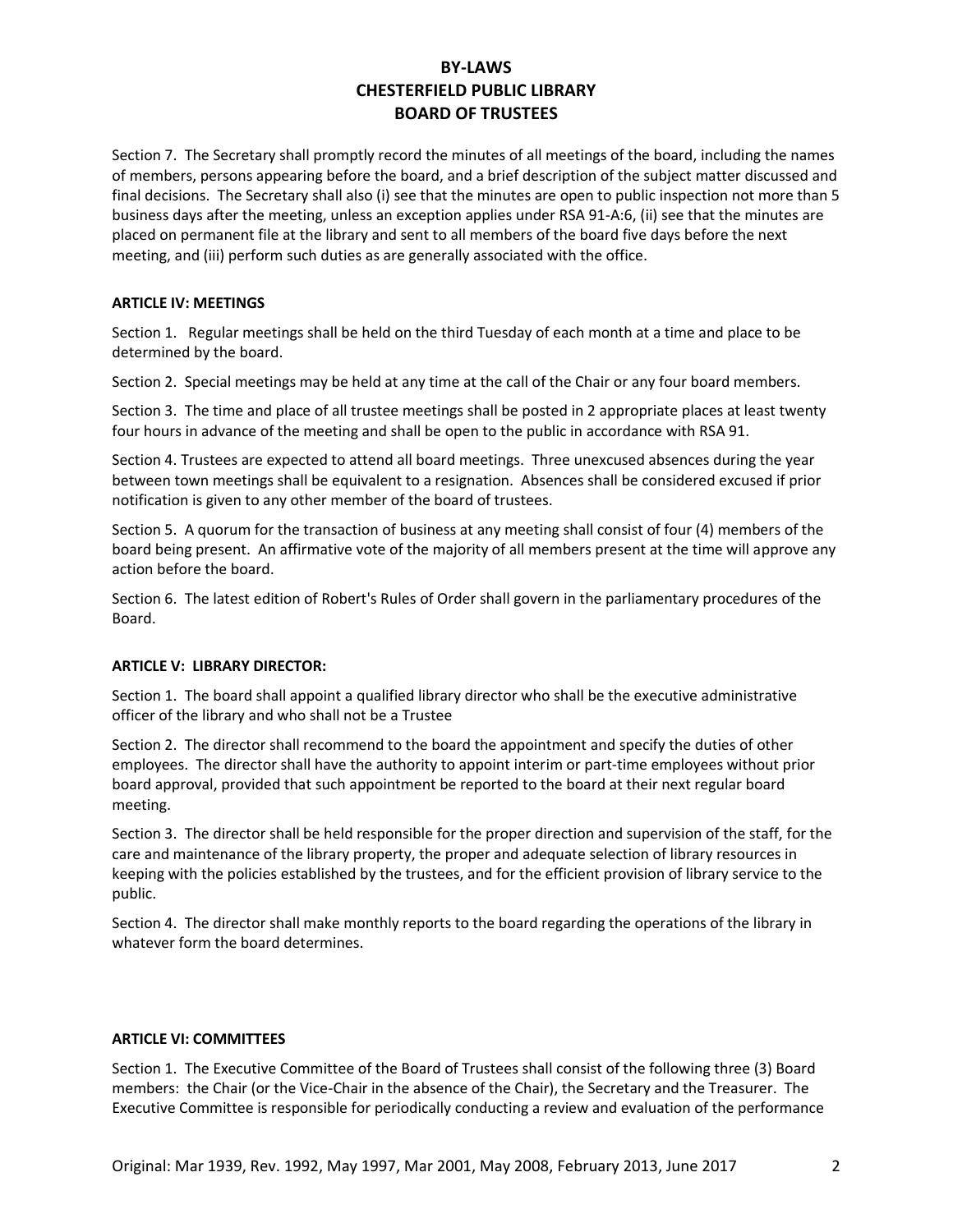# **BY-LAWS CHESTERFIELD PUBLIC LIBRARY BOARD OF TRUSTEES**

Section 7. The Secretary shall promptly record the minutes of all meetings of the board, including the names of members, persons appearing before the board, and a brief description of the subject matter discussed and final decisions. The Secretary shall also (i) see that the minutes are open to public inspection not more than 5 business days after the meeting, unless an exception applies under RSA 91-A:6, (ii) see that the minutes are placed on permanent file at the library and sent to all members of the board five days before the next meeting, and (iii) perform such duties as are generally associated with the office.

## **ARTICLE IV: MEETINGS**

Section 1. Regular meetings shall be held on the third Tuesday of each month at a time and place to be determined by the board.

Section 2. Special meetings may be held at any time at the call of the Chair or any four board members.

Section 3. The time and place of all trustee meetings shall be posted in 2 appropriate places at least twenty four hours in advance of the meeting and shall be open to the public in accordance with RSA 91.

Section 4. Trustees are expected to attend all board meetings. Three unexcused absences during the year between town meetings shall be equivalent to a resignation. Absences shall be considered excused if prior notification is given to any other member of the board of trustees.

Section 5. A quorum for the transaction of business at any meeting shall consist of four (4) members of the board being present. An affirmative vote of the majority of all members present at the time will approve any action before the board.

Section 6. The latest edition of Robert's Rules of Order shall govern in the parliamentary procedures of the Board.

## **ARTICLE V: LIBRARY DIRECTOR:**

Section 1. The board shall appoint a qualified library director who shall be the executive administrative officer of the library and who shall not be a Trustee

Section 2. The director shall recommend to the board the appointment and specify the duties of other employees. The director shall have the authority to appoint interim or part-time employees without prior board approval, provided that such appointment be reported to the board at their next regular board meeting.

Section 3. The director shall be held responsible for the proper direction and supervision of the staff, for the care and maintenance of the library property, the proper and adequate selection of library resources in keeping with the policies established by the trustees, and for the efficient provision of library service to the public.

Section 4. The director shall make monthly reports to the board regarding the operations of the library in whatever form the board determines.

## **ARTICLE VI: COMMITTEES**

Section 1. The Executive Committee of the Board of Trustees shall consist of the following three (3) Board members: the Chair (or the Vice-Chair in the absence of the Chair), the Secretary and the Treasurer. The Executive Committee is responsible for periodically conducting a review and evaluation of the performance